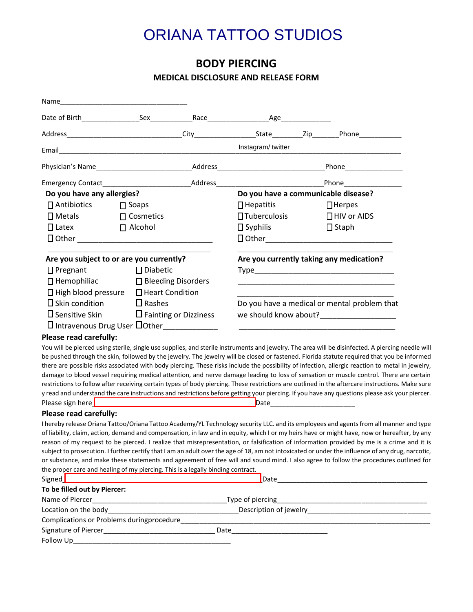## ORIANA TATTOO STUDIOS

## **BODY PIERCING**

**MEDICAL DISCLOSURE AND RELEASE FORM**

| Name_<br><u> 1989 - Johann Barn, mars ann an t-Amhain ann an t-Amhain an t-Amhain an t-Amhain an t-Amhain an t-Amhain an t-</u> |                |                                                                                                                         |                                              |     |                                                                                                                                                                                                                                                                                                                                                                                                                                                                                                                                                                                                                                                                                                                                                                                                                                                                                                   |
|---------------------------------------------------------------------------------------------------------------------------------|----------------|-------------------------------------------------------------------------------------------------------------------------|----------------------------------------------|-----|---------------------------------------------------------------------------------------------------------------------------------------------------------------------------------------------------------------------------------------------------------------------------------------------------------------------------------------------------------------------------------------------------------------------------------------------------------------------------------------------------------------------------------------------------------------------------------------------------------------------------------------------------------------------------------------------------------------------------------------------------------------------------------------------------------------------------------------------------------------------------------------------------|
|                                                                                                                                 |                |                                                                                                                         |                                              | Age |                                                                                                                                                                                                                                                                                                                                                                                                                                                                                                                                                                                                                                                                                                                                                                                                                                                                                                   |
|                                                                                                                                 |                |                                                                                                                         |                                              |     |                                                                                                                                                                                                                                                                                                                                                                                                                                                                                                                                                                                                                                                                                                                                                                                                                                                                                                   |
|                                                                                                                                 |                |                                                                                                                         | Instagram/twitter                            |     |                                                                                                                                                                                                                                                                                                                                                                                                                                                                                                                                                                                                                                                                                                                                                                                                                                                                                                   |
|                                                                                                                                 |                |                                                                                                                         |                                              |     |                                                                                                                                                                                                                                                                                                                                                                                                                                                                                                                                                                                                                                                                                                                                                                                                                                                                                                   |
|                                                                                                                                 |                |                                                                                                                         |                                              |     |                                                                                                                                                                                                                                                                                                                                                                                                                                                                                                                                                                                                                                                                                                                                                                                                                                                                                                   |
| Do you have any allergies?                                                                                                      |                |                                                                                                                         | Do you have a communicable disease?          |     |                                                                                                                                                                                                                                                                                                                                                                                                                                                                                                                                                                                                                                                                                                                                                                                                                                                                                                   |
| $\Box$ Antibiotics                                                                                                              | $\Box$ Soaps   |                                                                                                                         | $\Box$ Hepatitis                             |     | $\Box$ Herpes                                                                                                                                                                                                                                                                                                                                                                                                                                                                                                                                                                                                                                                                                                                                                                                                                                                                                     |
| $\Box$ Metals                                                                                                                   | □ Cosmetics    |                                                                                                                         | $\Box$ Tuberculosis                          |     | $\Box$ HIV or AIDS                                                                                                                                                                                                                                                                                                                                                                                                                                                                                                                                                                                                                                                                                                                                                                                                                                                                                |
| $\square$ Latex                                                                                                                 | $\Box$ Alcohol |                                                                                                                         | $\square$ Syphilis                           |     | $\Box$ Staph                                                                                                                                                                                                                                                                                                                                                                                                                                                                                                                                                                                                                                                                                                                                                                                                                                                                                      |
|                                                                                                                                 |                |                                                                                                                         |                                              |     |                                                                                                                                                                                                                                                                                                                                                                                                                                                                                                                                                                                                                                                                                                                                                                                                                                                                                                   |
|                                                                                                                                 |                | Are you currently taking any medication?                                                                                |                                              |     |                                                                                                                                                                                                                                                                                                                                                                                                                                                                                                                                                                                                                                                                                                                                                                                                                                                                                                   |
| Are you subject to or are you currently?<br>$\Box$ Diabetic                                                                     |                |                                                                                                                         |                                              |     |                                                                                                                                                                                                                                                                                                                                                                                                                                                                                                                                                                                                                                                                                                                                                                                                                                                                                                   |
| $\Box$ Pregnant                                                                                                                 |                |                                                                                                                         |                                              |     |                                                                                                                                                                                                                                                                                                                                                                                                                                                                                                                                                                                                                                                                                                                                                                                                                                                                                                   |
| $\Box$ Hemophiliac                                                                                                              |                | □ Bleeding Disorders                                                                                                    |                                              |     |                                                                                                                                                                                                                                                                                                                                                                                                                                                                                                                                                                                                                                                                                                                                                                                                                                                                                                   |
| $\Box$ High blood pressure                                                                                                      |                | □ Heart Condition                                                                                                       |                                              |     |                                                                                                                                                                                                                                                                                                                                                                                                                                                                                                                                                                                                                                                                                                                                                                                                                                                                                                   |
| $\Box$ Skin condition<br>$\Box$ Rashes                                                                                          |                |                                                                                                                         | Do you have a medical or mental problem that |     |                                                                                                                                                                                                                                                                                                                                                                                                                                                                                                                                                                                                                                                                                                                                                                                                                                                                                                   |
| $\square$ Sensitive Skin<br>$\Box$ Fainting or Dizziness                                                                        |                |                                                                                                                         | we should know about?___________________     |     |                                                                                                                                                                                                                                                                                                                                                                                                                                                                                                                                                                                                                                                                                                                                                                                                                                                                                                   |
| □ Intravenous Drug User □ Other____________                                                                                     |                |                                                                                                                         |                                              |     |                                                                                                                                                                                                                                                                                                                                                                                                                                                                                                                                                                                                                                                                                                                                                                                                                                                                                                   |
| Please read carefully:                                                                                                          |                |                                                                                                                         |                                              |     |                                                                                                                                                                                                                                                                                                                                                                                                                                                                                                                                                                                                                                                                                                                                                                                                                                                                                                   |
|                                                                                                                                 |                | Please sign here <b>contained</b> and the property of the set of the set of the set of the set of the set of the set of |                                              |     | You will be pierced using sterile, single use supplies, and sterile instruments and jewelry. The area will be disinfected. A piercing needle will<br>be pushed through the skin, followed by the jewelry. The jewelry will be closed or fastened. Florida statute required that you be informed<br>there are possible risks associated with body piercing. These risks include the possibility of infection, allergic reaction to metal in jewelry,<br>damage to blood vessel requiring medical attention, and nerve damage leading to loss of sensation or muscle control. There are certain<br>restrictions to follow after receiving certain types of body piercing. These restrictions are outlined in the aftercare instructions. Make sure<br>y read and understand the care instructions and restrictions before getting your piercing. If you have any questions please ask your piercer. |
| Please read carefully:                                                                                                          |                |                                                                                                                         |                                              |     |                                                                                                                                                                                                                                                                                                                                                                                                                                                                                                                                                                                                                                                                                                                                                                                                                                                                                                   |
| Signed L                                                                                                                        |                | the proper care and healing of my piercing. This is a legally binding contract.                                         | Date                                         |     | I hereby release Oriana Tattoo/Oriana Tattoo Academy/YL Technology security LLC. and its employees and agents from all manner and type<br>of liability, claim, action, demand and compensation, in law and in equity, which I or my heirs have or might have, now or hereafter, by any<br>reason of my request to be pierced. I realize that misrepresentation, or falsification of information provided by me is a crime and it is<br>subject to prosecution. I further certify that I am an adult over the age of 18, am not intoxicated or under the influence of any drug, narcotic,<br>or substance, and make these statements and agreement of free will and sound mind. I also agree to follow the procedures outlined for                                                                                                                                                                 |
| To be filled out by Piercer:                                                                                                    |                |                                                                                                                         |                                              |     |                                                                                                                                                                                                                                                                                                                                                                                                                                                                                                                                                                                                                                                                                                                                                                                                                                                                                                   |
|                                                                                                                                 |                |                                                                                                                         |                                              |     |                                                                                                                                                                                                                                                                                                                                                                                                                                                                                                                                                                                                                                                                                                                                                                                                                                                                                                   |
|                                                                                                                                 |                |                                                                                                                         |                                              |     |                                                                                                                                                                                                                                                                                                                                                                                                                                                                                                                                                                                                                                                                                                                                                                                                                                                                                                   |
|                                                                                                                                 |                |                                                                                                                         |                                              |     |                                                                                                                                                                                                                                                                                                                                                                                                                                                                                                                                                                                                                                                                                                                                                                                                                                                                                                   |
|                                                                                                                                 |                |                                                                                                                         |                                              |     |                                                                                                                                                                                                                                                                                                                                                                                                                                                                                                                                                                                                                                                                                                                                                                                                                                                                                                   |
| Follow Up_                                                                                                                      |                |                                                                                                                         |                                              |     |                                                                                                                                                                                                                                                                                                                                                                                                                                                                                                                                                                                                                                                                                                                                                                                                                                                                                                   |